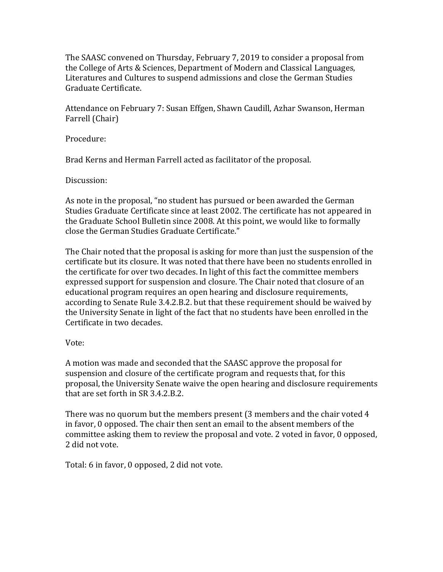The SAASC convened on Thursday, February 7, 2019 to consider a proposal from the College of Arts & Sciences, Department of Modern and Classical Languages, Literatures and Cultures to suspend admissions and close the German Studies Graduate Certificate.

Attendance on February 7: Susan Effgen, Shawn Caudill, Azhar Swanson, Herman Farrell (Chair)

Procedure:

Brad Kerns and Herman Farrell acted as facilitator of the proposal.

Discussion:

As note in the proposal, "no student has pursued or been awarded the German Studies Graduate Certificate since at least 2002. The certificate has not appeared in the Graduate School Bulletin since 2008. At this point, we would like to formally close the German Studies Graduate Certificate."

The Chair noted that the proposal is asking for more than just the suspension of the certificate but its closure. It was noted that there have been no students enrolled in the certificate for over two decades. In light of this fact the committee members expressed support for suspension and closure. The Chair noted that closure of an educational program requires an open hearing and disclosure requirements, according to Senate Rule 3.4.2.B.2. but that these requirement should be waived by the University Senate in light of the fact that no students have been enrolled in the Certificate in two decades.

Vote:

A motion was made and seconded that the SAASC approve the proposal for suspension and closure of the certificate program and requests that, for this proposal, the University Senate waive the open hearing and disclosure requirements that are set forth in SR 3.4.2.B.2.

There was no quorum but the members present (3 members and the chair voted 4 in favor, 0 opposed. The chair then sent an email to the absent members of the committee asking them to review the proposal and vote. 2 voted in favor, 0 opposed, 2 did not vote.

Total: 6 in favor, 0 opposed, 2 did not vote.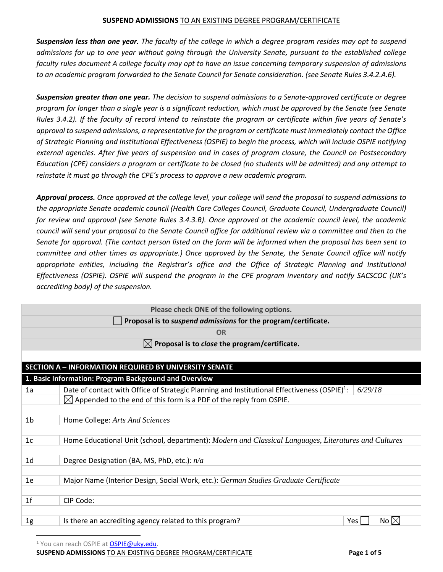*Suspension less than one year. The faculty of the college in which a degree program resides may opt to suspend admissions for up to one year without going through the University Senate, pursuant to the established college faculty rules document A college faculty may opt to have an issue concerning temporary suspension of admissions to an academic program forwarded to the Senate Council for Senate consideration. (see Senate Rules 3.4.2.A.6).* 

*Suspension greater than one year. The decision to suspend admissions to a Senate-approved certificate or degree program for longer than a single year is a significant reduction, which must be approved by the Senate (see Senate Rules 3.4.2). If the faculty of record intend to reinstate the program or certificate within five years of Senate's approval to suspend admissions, a representative for the program or certificate must immediately contact the Office of Strategic Planning and Institutional Effectiveness (OSPIE) to begin the process, which will include OSPIE notifying external agencies. After five years of suspension and in cases of program closure, the Council on Postsecondary Education (CPE) considers a program or certificate to be closed (no students will be admitted) and any attempt to reinstate it must go through the CPE's process to approve a new academic program.* 

*Approval process. Once approved at the college level, your college will send the proposal to suspend admissions to the appropriate Senate academic council (Health Care Colleges Council, Graduate Council, Undergraduate Council) for review and approval (see Senate Rules 3.4.3.B). Once approved at the academic council level, the academic council will send your proposal to the Senate Council office for additional review via a committee and then to the Senate for approval. (The contact person listed on the form will be informed when the proposal has been sent to committee and other times as appropriate.) Once approved by the Senate, the Senate Council office will notify appropriate entities, including the Registrar's office and the Office of Strategic Planning and Institutional Effectiveness (OSPIE). OSPIE will suspend the program in the CPE program inventory and notify SACSCOC (UK's accrediting body) of the suspension.* 

| Please check ONE of the following options. |                                                                                                                     |  |  |  |  |
|--------------------------------------------|---------------------------------------------------------------------------------------------------------------------|--|--|--|--|
|                                            | Proposal is to suspend admissions for the program/certificate.                                                      |  |  |  |  |
|                                            | <b>OR</b>                                                                                                           |  |  |  |  |
|                                            | $\boxtimes$ Proposal is to close the program/certificate.                                                           |  |  |  |  |
|                                            |                                                                                                                     |  |  |  |  |
|                                            | <b>SECTION A - INFORMATION REQUIRED BY UNIVERSITY SENATE</b>                                                        |  |  |  |  |
|                                            | 1. Basic Information: Program Background and Overview                                                               |  |  |  |  |
| 1a                                         | Date of contact with Office of Strategic Planning and Institutional Effectiveness (OSPIE) <sup>1</sup> :<br>6/29/18 |  |  |  |  |
|                                            | $\boxtimes$ Appended to the end of this form is a PDF of the reply from OSPIE.                                      |  |  |  |  |
|                                            |                                                                                                                     |  |  |  |  |
| 1 <sub>b</sub>                             | Home College: Arts And Sciences                                                                                     |  |  |  |  |
| 1 <sub>c</sub>                             | Home Educational Unit (school, department): Modern and Classical Languages, Literatures and Cultures                |  |  |  |  |
| 1 <sub>d</sub>                             | Degree Designation (BA, MS, PhD, etc.): $n/a$                                                                       |  |  |  |  |
| 1e                                         | Major Name (Interior Design, Social Work, etc.): German Studies Graduate Certificate                                |  |  |  |  |
| 1 <sub>f</sub>                             | CIP Code:                                                                                                           |  |  |  |  |
| 1g                                         | Is there an accrediting agency related to this program?<br>No $\times$<br><b>Yes</b>                                |  |  |  |  |

<sup>1</sup> You can reach OSPIE at **OSPIE@uky.edu**.

**SUSPEND ADMISSIONS** TO AN EXISTING DEGREE PROGRAM/CERTIFICATE **Page 1 of 5**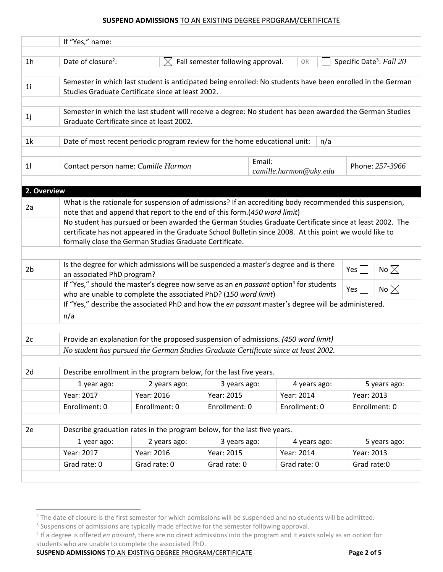|                | If "Yes," name:                                                                                                                                                                                                                                                               |                                                                                                                                                                                       |                                   |  |               |             |                                      |
|----------------|-------------------------------------------------------------------------------------------------------------------------------------------------------------------------------------------------------------------------------------------------------------------------------|---------------------------------------------------------------------------------------------------------------------------------------------------------------------------------------|-----------------------------------|--|---------------|-------------|--------------------------------------|
| 1 <sub>h</sub> | Date of closure <sup>2</sup> :                                                                                                                                                                                                                                                | $\boxtimes$                                                                                                                                                                           | Fall semester following approval. |  | OR            |             | Specific Date <sup>3</sup> : Fall 20 |
|                |                                                                                                                                                                                                                                                                               |                                                                                                                                                                                       |                                   |  |               |             |                                      |
| 1 <sub>i</sub> | Semester in which last student is anticipated being enrolled: No students have been enrolled in the German<br>Studies Graduate Certificate since at least 2002.                                                                                                               |                                                                                                                                                                                       |                                   |  |               |             |                                      |
|                |                                                                                                                                                                                                                                                                               |                                                                                                                                                                                       |                                   |  |               |             |                                      |
| 1j             | Semester in which the last student will receive a degree: No student has been awarded the German Studies<br>Graduate Certificate since at least 2002.                                                                                                                         |                                                                                                                                                                                       |                                   |  |               |             |                                      |
| 1 <sup>k</sup> | Date of most recent periodic program review for the home educational unit:<br>n/a                                                                                                                                                                                             |                                                                                                                                                                                       |                                   |  |               |             |                                      |
| 11             | Email:<br>Phone: 257-3966<br>Contact person name: Camille Harmon<br>camille.harmon@uky.edu                                                                                                                                                                                    |                                                                                                                                                                                       |                                   |  |               |             |                                      |
| 2. Overview    |                                                                                                                                                                                                                                                                               |                                                                                                                                                                                       |                                   |  |               |             |                                      |
| 2a             |                                                                                                                                                                                                                                                                               | What is the rationale for suspension of admissions? If an accrediting body recommended this suspension,<br>note that and append that report to the end of this form. (450 word limit) |                                   |  |               |             |                                      |
|                | No student has pursued or been awarded the German Studies Graduate Certificate since at least 2002. The<br>certificate has not appeared in the Graduate School Bulletin since 2008. At this point we would like to<br>formally close the German Studies Graduate Certificate. |                                                                                                                                                                                       |                                   |  |               |             |                                      |
|                |                                                                                                                                                                                                                                                                               |                                                                                                                                                                                       |                                   |  |               |             |                                      |
| 2 <sub>b</sub> | Is the degree for which admissions will be suspended a master's degree and is there<br>No $\boxtimes$<br>Yes  <br>an associated PhD program?                                                                                                                                  |                                                                                                                                                                                       |                                   |  |               |             |                                      |
|                | If "Yes," should the master's degree now serve as an en passant option <sup>4</sup> for students<br>No $\boxtimes$<br>Yes  <br>who are unable to complete the associated PhD? (150 word limit)                                                                                |                                                                                                                                                                                       |                                   |  |               |             |                                      |
|                | If "Yes," describe the associated PhD and how the en passant master's degree will be administered.                                                                                                                                                                            |                                                                                                                                                                                       |                                   |  |               |             |                                      |
|                | n/a                                                                                                                                                                                                                                                                           |                                                                                                                                                                                       |                                   |  |               |             |                                      |
|                |                                                                                                                                                                                                                                                                               |                                                                                                                                                                                       |                                   |  |               |             |                                      |
| 2c             | Provide an explanation for the proposed suspension of admissions. (450 word limit)                                                                                                                                                                                            |                                                                                                                                                                                       |                                   |  |               |             |                                      |
|                | No student has pursued the German Studies Graduate Certificate since at least 2002.                                                                                                                                                                                           |                                                                                                                                                                                       |                                   |  |               |             |                                      |
| 2d             | Describe enrollment in the program below, for the last five years.                                                                                                                                                                                                            |                                                                                                                                                                                       |                                   |  |               |             |                                      |
|                | 1 year ago:                                                                                                                                                                                                                                                                   | 2 years ago:                                                                                                                                                                          | 3 years ago:                      |  | 4 years ago:  |             | 5 years ago:                         |
|                | Year: 2017                                                                                                                                                                                                                                                                    | Year: 2016                                                                                                                                                                            | Year: 2015                        |  | Year: 2014    | Year: 2013  |                                      |
|                | Enrollment: 0                                                                                                                                                                                                                                                                 | Enrollment: 0                                                                                                                                                                         | Enrollment: 0                     |  | Enrollment: 0 |             | Enrollment: 0                        |
|                |                                                                                                                                                                                                                                                                               |                                                                                                                                                                                       |                                   |  |               |             |                                      |
| 2e             |                                                                                                                                                                                                                                                                               | Describe graduation rates in the program below, for the last five years.                                                                                                              |                                   |  |               |             |                                      |
|                | 1 year ago:                                                                                                                                                                                                                                                                   | 2 years ago:                                                                                                                                                                          | 3 years ago:                      |  | 4 years ago:  |             | 5 years ago:                         |
|                | Year: 2017                                                                                                                                                                                                                                                                    | Year: 2016                                                                                                                                                                            | Year: 2015                        |  | Year: 2014    | Year: 2013  |                                      |
|                | Grad rate: 0                                                                                                                                                                                                                                                                  | Grad rate: 0                                                                                                                                                                          | Grad rate: 0                      |  | Grad rate: 0  | Grad rate:0 |                                      |

**SUSPEND ADMISSIONS** TO AN EXISTING DEGREE PROGRAM/CERTIFICATE **Page 2 of 5**

<sup>&</sup>lt;sup>2</sup> The date of closure is the first semester for which admissions will be suspended and no students will be admitted.

<sup>&</sup>lt;sup>3</sup> Suspensions of admissions are typically made effective for the semester following approval.<br><sup>4</sup> If a degree is offered *en passant*, there are no direct admissions into the program and it exists solely as an option for students who are unable to complete the associated PhD.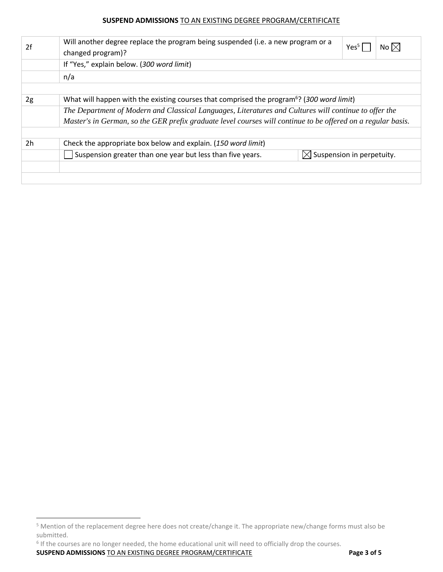| 2f             | Will another degree replace the program being suspended (i.e. a new program or a<br>changed program)?        | Yes <sup>5</sup> | $\overline{N}$ o $ \times $ |  |  |
|----------------|--------------------------------------------------------------------------------------------------------------|------------------|-----------------------------|--|--|
|                | If "Yes," explain below. (300 word limit)                                                                    |                  |                             |  |  |
|                | n/a                                                                                                          |                  |                             |  |  |
|                |                                                                                                              |                  |                             |  |  |
| 2g             | What will happen with the existing courses that comprised the program <sup>6</sup> ? (300 word limit)        |                  |                             |  |  |
|                | The Department of Modern and Classical Languages, Literatures and Cultures will continue to offer the        |                  |                             |  |  |
|                | Master's in German, so the GER prefix graduate level courses will continue to be offered on a regular basis. |                  |                             |  |  |
|                |                                                                                                              |                  |                             |  |  |
| 2 <sub>h</sub> | Check the appropriate box below and explain. (150 word limit)                                                |                  |                             |  |  |
|                | $\boxtimes$ Suspension in perpetuity.<br>Suspension greater than one year but less than five years.          |                  |                             |  |  |
|                |                                                                                                              |                  |                             |  |  |
|                |                                                                                                              |                  |                             |  |  |

<sup>6</sup> If the courses are no longer needed, the home educational unit will need to officially drop the courses.

**SUSPEND ADMISSIONS** TO AN EXISTING DEGREE PROGRAM/CERTIFICATE **Page 3 of 5**

 <sup>5</sup> Mention of the replacement degree here does not create/change it. The appropriate new/change forms must also be submitted.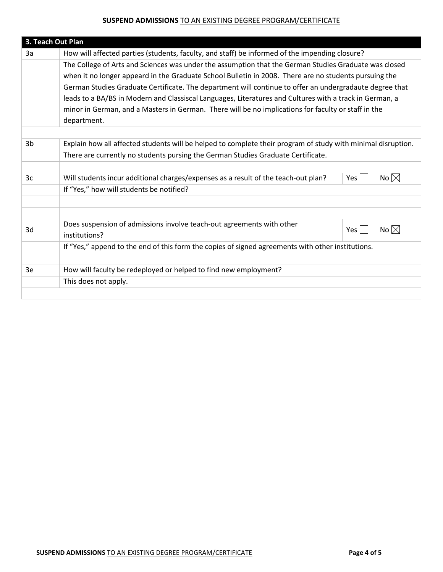| 3. Teach Out Plan |                                                                                                              |     |                |  |  |
|-------------------|--------------------------------------------------------------------------------------------------------------|-----|----------------|--|--|
| 3a                | How will affected parties (students, faculty, and staff) be informed of the impending closure?               |     |                |  |  |
|                   | The College of Arts and Sciences was under the assumption that the German Studies Graduate was closed        |     |                |  |  |
|                   | when it no longer appeard in the Graduate School Bulletin in 2008. There are no students pursuing the        |     |                |  |  |
|                   | German Studies Graduate Certificate. The department will continue to offer an undergradaute degree that      |     |                |  |  |
|                   | leads to a BA/BS in Modern and Classiscal Languages, Literatures and Cultures with a track in German, a      |     |                |  |  |
|                   | minor in German, and a Masters in German. There will be no implications for faculty or staff in the          |     |                |  |  |
|                   | department.                                                                                                  |     |                |  |  |
|                   |                                                                                                              |     |                |  |  |
| 3b                | Explain how all affected students will be helped to complete their program of study with minimal disruption. |     |                |  |  |
|                   | There are currently no students pursing the German Studies Graduate Certificate.                             |     |                |  |  |
|                   |                                                                                                              |     |                |  |  |
| 3c                | Will students incur additional charges/expenses as a result of the teach-out plan?                           | Yes | No $\boxtimes$ |  |  |
|                   | If "Yes," how will students be notified?                                                                     |     |                |  |  |
|                   |                                                                                                              |     |                |  |  |
|                   |                                                                                                              |     |                |  |  |
|                   | Does suspension of admissions involve teach-out agreements with other                                        |     | No $\boxtimes$ |  |  |
| 3d                | institutions?                                                                                                | Yes |                |  |  |
|                   | If "Yes," append to the end of this form the copies of signed agreements with other institutions.            |     |                |  |  |
|                   |                                                                                                              |     |                |  |  |
| 3e                | How will faculty be redeployed or helped to find new employment?                                             |     |                |  |  |
|                   | This does not apply.                                                                                         |     |                |  |  |
|                   |                                                                                                              |     |                |  |  |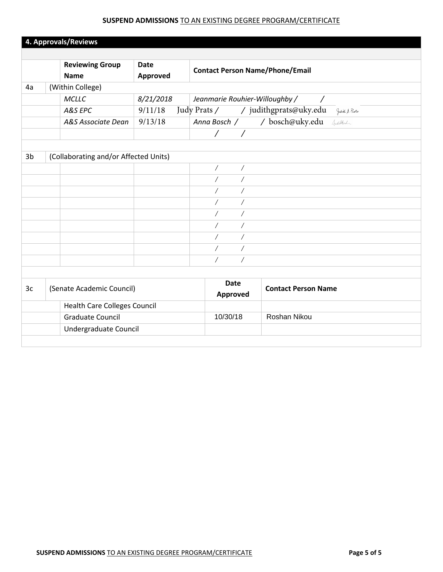|                | 4. Approvals/Reviews                                           |                         |                                                      |                                               |
|----------------|----------------------------------------------------------------|-------------------------|------------------------------------------------------|-----------------------------------------------|
|                | <b>Reviewing Group</b><br><b>Name</b>                          | <b>Date</b><br>Approved | <b>Contact Person Name/Phone/Email</b>               |                                               |
| 4a             | (Within College)                                               |                         |                                                      |                                               |
|                | MCLLC                                                          | 8/21/2018               | Jeanmarie Rouhier-Willoughby /                       |                                               |
|                | A&S EPC                                                        | 9/11/18                 |                                                      | Judy Prats / / judithgprats@uky.edu Juil Rate |
|                | A&S Associate Dean                                             | 9/13/18                 |                                                      | Anna Bosch / / bosch@uky.edu Andhala          |
|                |                                                                |                         | $\frac{1}{\sqrt{2}}$                                 |                                               |
|                |                                                                |                         |                                                      |                                               |
| 3 <sub>b</sub> | (Collaborating and/or Affected Units)                          |                         |                                                      |                                               |
|                |                                                                |                         | $\overline{\phantom{a}}$<br>$\overline{\phantom{a}}$ |                                               |
|                |                                                                |                         | $\overline{1}$<br>$\overline{1}$                     |                                               |
|                |                                                                |                         | $\sqrt{2}$<br>$\sqrt{2}$                             |                                               |
|                |                                                                |                         | $\sqrt{2}$<br>Γ                                      |                                               |
|                |                                                                |                         | $\overline{1}$<br>$\sqrt{2}$                         |                                               |
|                |                                                                |                         | $\overline{\phantom{a}}$<br>$\overline{\phantom{a}}$ |                                               |
|                |                                                                |                         | $\overline{1}$<br>$\sqrt{2}$                         |                                               |
|                |                                                                |                         | $\sqrt{2}$<br>Ϊ                                      |                                               |
|                |                                                                |                         | $\overline{\phantom{a}}$<br>$\sqrt{2}$               |                                               |
|                |                                                                |                         |                                                      |                                               |
| 3c             | (Senate Academic Council)                                      |                         | <b>Date</b><br>Approved                              | <b>Contact Person Name</b>                    |
|                | <b>Health Care Colleges Council</b><br><b>Graduate Council</b> |                         |                                                      |                                               |
|                |                                                                |                         | 10/30/18                                             | Roshan Nikou                                  |
|                | Undergraduate Council                                          |                         |                                                      |                                               |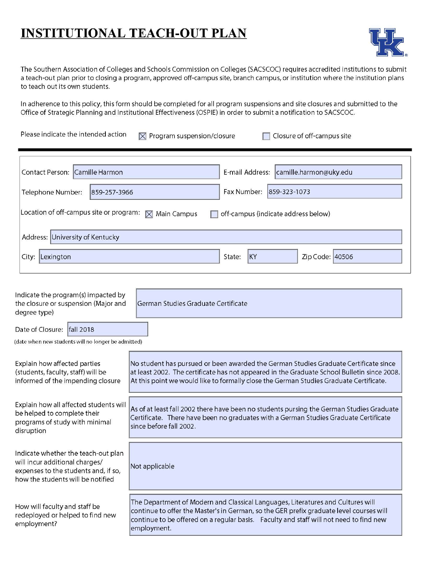# **INSTITUTIONAL TEACH-OUT PLAN**



н

The Southern Association of Colleges and Schools Commission on Colleges (SACSCOC) requires accredited institutions to submit a teach-out plan prior to closing a program, approved off-campus site, branch campus, or institution where the institution plans to teach out its own students.

In adherence to this policy, this form should be completed for all program suspensions and site closures and submitted to the Office of Strategic Planning and Institutional Effectiveness (OSPIE) in order to submit a notification to SACSCOC.

Please indicate the intended action  $\boxtimes$  Program suspension/closure  $\Box$  Closure of off-campus site

| Contact Person: Camille Harmon<br>E-mail Address:<br>camille.harmon@uky.edu                                 |                                 |  |  |  |  |
|-------------------------------------------------------------------------------------------------------------|---------------------------------|--|--|--|--|
| Fax Number:<br>859-323-1073<br>Telephone Number:<br>859-257-3966                                            |                                 |  |  |  |  |
| Location of off-campus site or program: $\boxtimes$ Main Campus<br>off-campus (indicate address below)<br>п |                                 |  |  |  |  |
| Address: University of Kentucky                                                                             |                                 |  |  |  |  |
| City:<br>Lexington                                                                                          | KY<br>Zip Code: 40506<br>State: |  |  |  |  |

| Indicate the program(s) impacted by<br>the closure or suspension (Major and<br>degree type)                                                        | German Studies Graduate Certificate                                                                                                                                                                                                                                                 |  |  |  |
|----------------------------------------------------------------------------------------------------------------------------------------------------|-------------------------------------------------------------------------------------------------------------------------------------------------------------------------------------------------------------------------------------------------------------------------------------|--|--|--|
| Date of Closure:   fall 2018                                                                                                                       |                                                                                                                                                                                                                                                                                     |  |  |  |
| (date when new students will no longer be admitted)                                                                                                |                                                                                                                                                                                                                                                                                     |  |  |  |
| Explain how affected parties<br>(students, faculty, staff) will be<br>informed of the impending closure                                            | No student has pursued or been awarded the German Studies Graduate Certificate since<br>at least 2002. The certificate has not appeared in the Graduate School Bulletin since 2008.<br>At this point we would like to formally close the German Studies Graduate Certificate.       |  |  |  |
| Explain how all affected students will<br>be helped to complete their<br>programs of study with minimal<br>disruption                              | As of at least fall 2002 there have been no students pursing the German Studies Graduate<br>Certificate. There have been no graduates with a German Studies Graduate Certificate<br>since before fall 2002.                                                                         |  |  |  |
| Indicate whether the teach-out plan<br>will incur additional charges/<br>expenses to the students and, if so,<br>how the students will be notified | Not applicable                                                                                                                                                                                                                                                                      |  |  |  |
| How will faculty and staff be<br>redeployed or helped to find new<br>employment?                                                                   | The Department of Modern and Classical Languages, Literatures and Cultures will<br>continue to offer the Master's in German, so the GER prefix graduate level courses will<br>continue to be offered on a regular basis. Faculty and staff will not need to find new<br>employment. |  |  |  |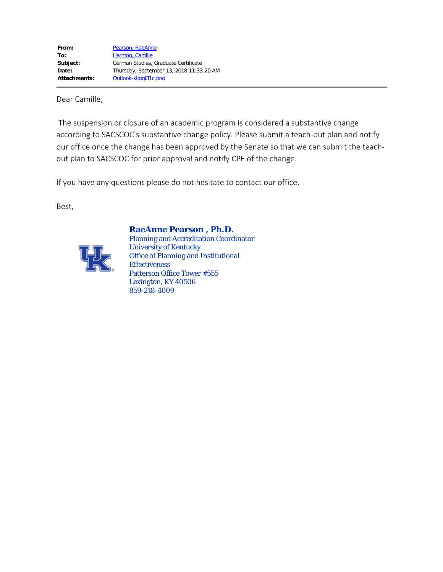Dear Camille,

The suspension or closure of an academic program is considered a substantive change according to SACSCOC's substantive change policy. Please submit a teach-out plan and notify our office once the change has been approved by the Senate so that we can submit the teachout plan to SACSCOC for prior approval and notify CPE of the change.

If you have any questions please do not hesitate to contact our office.

Best,



**RaeAnne Pearson , Ph.D.**

Planning and Accreditation Coordinator University of Kentucky Office of Planning and Institutional **Effectiveness** Patterson Office Tower #555 Lexington, KY 40506 859-218-4009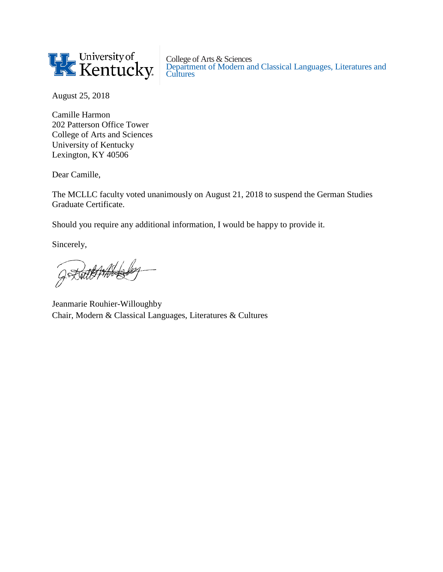

College of Arts & Sciences Department of Modern and Classical Languages, Literatures and **Cultures** 

August 25, 2018

Camille Harmon 202 Patterson Office Tower College of Arts and Sciences University of Kentucky Lexington, KY 40506

Dear Camille,

The MCLLC faculty voted unanimously on August 21, 2018 to suspend the German Studies Graduate Certificate.

Should you require any additional information, I would be happy to provide it.

Sincerely,

GRANT PHALLER

Jeanmarie Rouhier-Willoughby Chair, Modern & Classical Languages, Literatures & Cultures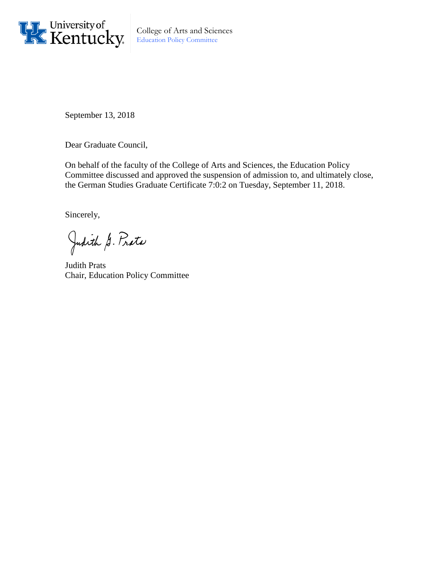

College of Arts and Sciences Education Policy Committee

September 13, 2018

Dear Graduate Council,

On behalf of the faculty of the College of Arts and Sciences, the Education Policy Committee discussed and approved the suspension of admission to, and ultimately close, the German Studies Graduate Certificate 7:0:2 on Tuesday, September 11, 2018.

Sincerely,

Judith G. Proto

Judith Prats Chair, Education Policy Committee